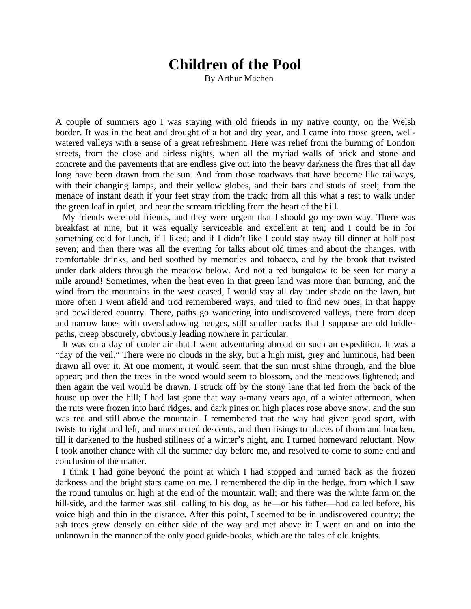## **Children of the Pool**

By Arthur Machen

A couple of summers ago I was staying with old friends in my native county, on the Welsh border. It was in the heat and drought of a hot and dry year, and I came into those green, wellwatered valleys with a sense of a great refreshment. Here was relief from the burning of London streets, from the close and airless nights, when all the myriad walls of brick and stone and concrete and the pavements that are endless give out into the heavy darkness the fires that all day long have been drawn from the sun. And from those roadways that have become like railways, with their changing lamps, and their yellow globes, and their bars and studs of steel; from the menace of instant death if your feet stray from the track: from all this what a rest to walk under the green leaf in quiet, and hear the scream trickling from the heart of the hill.

My friends were old friends, and they were urgent that I should go my own way. There was breakfast at nine, but it was equally serviceable and excellent at ten; and I could be in for something cold for lunch, if I liked; and if I didn't like I could stay away till dinner at half past seven; and then there was all the evening for talks about old times and about the changes, with comfortable drinks, and bed soothed by memories and tobacco, and by the brook that twisted under dark alders through the meadow below. And not a red bungalow to be seen for many a mile around! Sometimes, when the heat even in that green land was more than burning, and the wind from the mountains in the west ceased, I would stay all day under shade on the lawn, but more often I went afield and trod remembered ways, and tried to find new ones, in that happy and bewildered country. There, paths go wandering into undiscovered valleys, there from deep and narrow lanes with overshadowing hedges, still smaller tracks that I suppose are old bridlepaths, creep obscurely, obviously leading nowhere in particular.

It was on a day of cooler air that I went adventuring abroad on such an expedition. It was a "day of the veil." There were no clouds in the sky, but a high mist, grey and luminous, had been drawn all over it. At one moment, it would seem that the sun must shine through, and the blue appear; and then the trees in the wood would seem to blossom, and the meadows lightened; and then again the veil would be drawn. I struck off by the stony lane that led from the back of the house up over the hill; I had last gone that way a-many years ago, of a winter afternoon, when the ruts were frozen into hard ridges, and dark pines on high places rose above snow, and the sun was red and still above the mountain. I remembered that the way had given good sport, with twists to right and left, and unexpected descents, and then risings to places of thorn and bracken, till it darkened to the hushed stillness of a winter's night, and I turned homeward reluctant. Now I took another chance with all the summer day before me, and resolved to come to some end and conclusion of the matter.

I think I had gone beyond the point at which I had stopped and turned back as the frozen darkness and the bright stars came on me. I remembered the dip in the hedge, from which I saw the round tumulus on high at the end of the mountain wall; and there was the white farm on the hill-side, and the farmer was still calling to his dog, as he—or his father—had called before, his voice high and thin in the distance. After this point, I seemed to be in undiscovered country; the ash trees grew densely on either side of the way and met above it: I went on and on into the unknown in the manner of the only good guide-books, which are the tales of old knights.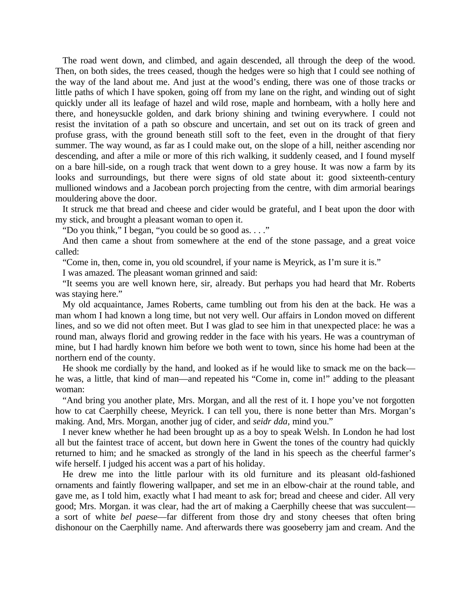The road went down, and climbed, and again descended, all through the deep of the wood. Then, on both sides, the trees ceased, though the hedges were so high that I could see nothing of the way of the land about me. And just at the wood's ending, there was one of those tracks or little paths of which I have spoken, going off from my lane on the right, and winding out of sight quickly under all its leafage of hazel and wild rose, maple and hornbeam, with a holly here and there, and honeysuckle golden, and dark briony shining and twining everywhere. I could not resist the invitation of a path so obscure and uncertain, and set out on its track of green and profuse grass, with the ground beneath still soft to the feet, even in the drought of that fiery summer. The way wound, as far as I could make out, on the slope of a hill, neither ascending nor descending, and after a mile or more of this rich walking, it suddenly ceased, and I found myself on a bare hill-side, on a rough track that went down to a grey house. It was now a farm by its looks and surroundings, but there were signs of old state about it: good sixteenth-century mullioned windows and a Jacobean porch projecting from the centre, with dim armorial bearings mouldering above the door.

It struck me that bread and cheese and cider would be grateful, and I beat upon the door with my stick, and brought a pleasant woman to open it.

"Do you think," I began, "you could be so good as. . . ."

And then came a shout from somewhere at the end of the stone passage, and a great voice called:

"Come in, then, come in, you old scoundrel, if your name is Meyrick, as I'm sure it is."

I was amazed. The pleasant woman grinned and said:

"It seems you are well known here, sir, already. But perhaps you had heard that Mr. Roberts was staying here."

My old acquaintance, James Roberts, came tumbling out from his den at the back. He was a man whom I had known a long time, but not very well. Our affairs in London moved on different lines, and so we did not often meet. But I was glad to see him in that unexpected place: he was a round man, always florid and growing redder in the face with his years. He was a countryman of mine, but I had hardly known him before we both went to town, since his home had been at the northern end of the county.

He shook me cordially by the hand, and looked as if he would like to smack me on the back he was, a little, that kind of man—and repeated his "Come in, come in!" adding to the pleasant woman:

"And bring you another plate, Mrs. Morgan, and all the rest of it. I hope you've not forgotten how to cat Caerphilly cheese, Meyrick. I can tell you, there is none better than Mrs. Morgan's making. And, Mrs. Morgan, another jug of cider, and *seidr dda,* mind you."

I never knew whether he had been brought up as a boy to speak Welsh. In London he had lost all but the faintest trace of accent, but down here in Gwent the tones of the country had quickly returned to him; and he smacked as strongly of the land in his speech as the cheerful farmer's wife herself. I judged his accent was a part of his holiday.

He drew me into the little parlour with its old furniture and its pleasant old-fashioned ornaments and faintly flowering wallpaper, and set me in an elbow-chair at the round table, and gave me, as I told him, exactly what I had meant to ask for; bread and cheese and cider. All very good; Mrs. Morgan. it was clear, had the art of making a Caerphilly cheese that was succulent a sort of white *bel paese*—far different from those dry and stony cheeses that often bring dishonour on the Caerphilly name. And afterwards there was gooseberry jam and cream. And the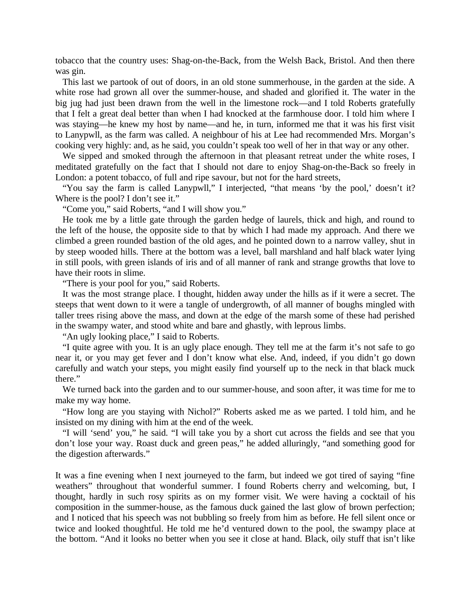tobacco that the country uses: Shag-on-the-Back, from the Welsh Back, Bristol. And then there was gin.

This last we partook of out of doors, in an old stone summerhouse, in the garden at the side. A white rose had grown all over the summer-house, and shaded and glorified it. The water in the big jug had just been drawn from the well in the limestone rock—and I told Roberts gratefully that I felt a great deal better than when I had knocked at the farmhouse door. I told him where I was staying—he knew my host by name—and he, in turn, informed me that it was his first visit to Lanypwll, as the farm was called. A neighbour of his at Lee had recommended Mrs. Morgan's cooking very highly: and, as he said, you couldn't speak too well of her in that way or any other.

We sipped and smoked through the afternoon in that pleasant retreat under the white roses, I meditated gratefully on the fact that I should not dare to enjoy Shag-on-the-Back so freely in London: a potent tobacco, of full and ripe savour, but not for the hard streets,

"You say the farm is called Lanypwll," I interjected, "that means 'by the pool,' doesn't it? Where is the pool? I don't see it."

"Come you," said Roberts, "and I will show you."

He took me by a little gate through the garden hedge of laurels, thick and high, and round to the left of the house, the opposite side to that by which I had made my approach. And there we climbed a green rounded bastion of the old ages, and he pointed down to a narrow valley, shut in by steep wooded hills. There at the bottom was a level, ball marshland and half black water lying in still pools, with green islands of iris and of all manner of rank and strange growths that love to have their roots in slime.

"There is your pool for you," said Roberts.

It was the most strange place. I thought, hidden away under the hills as if it were a secret. The steeps that went down to it were a tangle of undergrowth, of all manner of boughs mingled with taller trees rising above the mass, and down at the edge of the marsh some of these had perished in the swampy water, and stood white and bare and ghastly, with leprous limbs.

"An ugly looking place," I said to Roberts.

"I quite agree with you. It is an ugly place enough. They tell me at the farm it's not safe to go near it, or you may get fever and I don't know what else. And, indeed, if you didn't go down carefully and watch your steps, you might easily find yourself up to the neck in that black muck there."

We turned back into the garden and to our summer-house, and soon after, it was time for me to make my way home.

"How long are you staying with Nichol?" Roberts asked me as we parted. I told him, and he insisted on my dining with him at the end of the week.

"I will 'send' you," he said. "I will take you by a short cut across the fields and see that you don't lose your way. Roast duck and green peas," he added alluringly, "and something good for the digestion afterwards."

It was a fine evening when I next journeyed to the farm, but indeed we got tired of saying "fine weathers" throughout that wonderful summer. I found Roberts cherry and welcoming, but, I thought, hardly in such rosy spirits as on my former visit. We were having a cocktail of his composition in the summer-house, as the famous duck gained the last glow of brown perfection; and I noticed that his speech was not bubbling so freely from him as before. He fell silent once or twice and looked thoughtful. He told me he'd ventured down to the pool, the swampy place at the bottom. "And it looks no better when you see it close at hand. Black, oily stuff that isn't like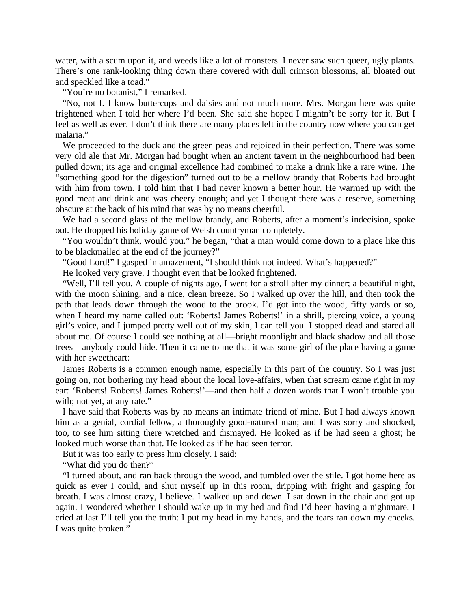water, with a scum upon it, and weeds like a lot of monsters. I never saw such queer, ugly plants. There's one rank-looking thing down there covered with dull crimson blossoms, all bloated out and speckled like a toad."

"You're no botanist," I remarked.

"No, not I. I know buttercups and daisies and not much more. Mrs. Morgan here was quite frightened when I told her where I'd been. She said she hoped I mightn't be sorry for it. But I feel as well as ever. I don't think there are many places left in the country now where you can get malaria."

We proceeded to the duck and the green peas and rejoiced in their perfection. There was some very old ale that Mr. Morgan had bought when an ancient tavern in the neighbourhood had been pulled down; its age and original excellence had combined to make a drink like a rare wine. The "something good for the digestion" turned out to be a mellow brandy that Roberts had brought with him from town. I told him that I had never known a better hour. He warmed up with the good meat and drink and was cheery enough; and yet I thought there was a reserve, something obscure at the back of his mind that was by no means cheerful.

We had a second glass of the mellow brandy, and Roberts, after a moment's indecision, spoke out. He dropped his holiday game of Welsh countryman completely.

"You wouldn't think, would you." he began, "that a man would come down to a place like this to be blackmailed at the end of the journey?"

"Good Lord!" I gasped in amazement, "I should think not indeed. What's happened?"

He looked very grave. I thought even that be looked frightened.

"Well, I'll tell you. A couple of nights ago, I went for a stroll after my dinner; a beautiful night, with the moon shining, and a nice, clean breeze. So I walked up over the hill, and then took the path that leads down through the wood to the brook. I'd got into the wood, fifty yards or so, when I heard my name called out: 'Roberts! James Roberts!' in a shrill, piercing voice, a young girl's voice, and I jumped pretty well out of my skin, I can tell you. I stopped dead and stared all about me. Of course I could see nothing at all—bright moonlight and black shadow and all those trees—anybody could hide. Then it came to me that it was some girl of the place having a game with her sweetheart:

James Roberts is a common enough name, especially in this part of the country. So I was just going on, not bothering my head about the local love-affairs, when that scream came right in my ear: 'Roberts! Roberts! James Roberts!'—and then half a dozen words that I won't trouble you with; not yet, at any rate."

I have said that Roberts was by no means an intimate friend of mine. But I had always known him as a genial, cordial fellow, a thoroughly good-natured man; and I was sorry and shocked, too, to see him sitting there wretched and dismayed. He looked as if he had seen a ghost; he looked much worse than that. He looked as if he had seen terror.

But it was too early to press him closely. I said:

"What did you do then?"

"I turned about, and ran back through the wood, and tumbled over the stile. I got home here as quick as ever I could, and shut myself up in this room, dripping with fright and gasping for breath. I was almost crazy, I believe. I walked up and down. I sat down in the chair and got up again. I wondered whether I should wake up in my bed and find I'd been having a nightmare. I cried at last I'll tell you the truth: I put my head in my hands, and the tears ran down my cheeks. I was quite broken."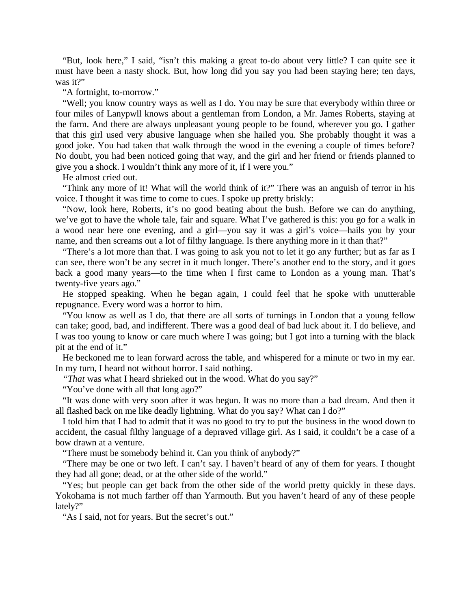"But, look here," I said, "isn't this making a great to-do about very little? I can quite see it must have been a nasty shock. But, how long did you say you had been staying here; ten days, was it?"

"A fortnight, to-morrow."

"Well; you know country ways as well as I do. You may be sure that everybody within three or four miles of Lanypwll knows about a gentleman from London, a Mr. James Roberts, staying at the farm. And there are always unpleasant young people to be found, wherever you go. I gather that this girl used very abusive language when she hailed you. She probably thought it was a good joke. You had taken that walk through the wood in the evening a couple of times before? No doubt, you had been noticed going that way, and the girl and her friend or friends planned to give you a shock. I wouldn't think any more of it, if I were you."

He almost cried out.

"Think any more of it! What will the world think of it?" There was an anguish of terror in his voice. I thought it was time to come to cues. I spoke up pretty briskly:

"Now, look here, Roberts, it's no good beating about the bush. Before we can do anything, we've got to have the whole tale, fair and square. What I've gathered is this: you go for a walk in a wood near here one evening, and a girl—you say it was a girl's voice—hails you by your name, and then screams out a lot of filthy language. Is there anything more in it than that?"

"There's a lot more than that. I was going to ask you not to let it go any further; but as far as I can see, there won't be any secret in it much longer. There's another end to the story, and it goes back a good many years—to the time when I first came to London as a young man. That's twenty-five years ago."

He stopped speaking. When he began again, I could feel that he spoke with unutterable repugnance. Every word was a horror to him.

"You know as well as I do, that there are all sorts of turnings in London that a young fellow can take; good, bad, and indifferent. There was a good deal of bad luck about it. I do believe, and I was too young to know or care much where I was going; but I got into a turning with the black pit at the end of it."

He beckoned me to lean forward across the table, and whispered for a minute or two in my ear. In my turn, I heard not without horror. I said nothing.

*"That* was what I heard shrieked out in the wood. What do you say?"

"You've done with all that long ago?"

"It was done with very soon after it was begun. It was no more than a bad dream. And then it all flashed back on me like deadly lightning. What do you say? What can I do?"

I told him that I had to admit that it was no good to try to put the business in the wood down to accident, the casual filthy language of a depraved village girl. As I said, it couldn't be a case of a bow drawn at a venture.

"There must be somebody behind it. Can you think of anybody?"

"There may be one or two left. I can't say. I haven't heard of any of them for years. I thought they had all gone; dead, or at the other side of the world."

"Yes; but people can get back from the other side of the world pretty quickly in these days. Yokohama is not much farther off than Yarmouth. But you haven't heard of any of these people lately?"

"As I said, not for years. But the secret's out."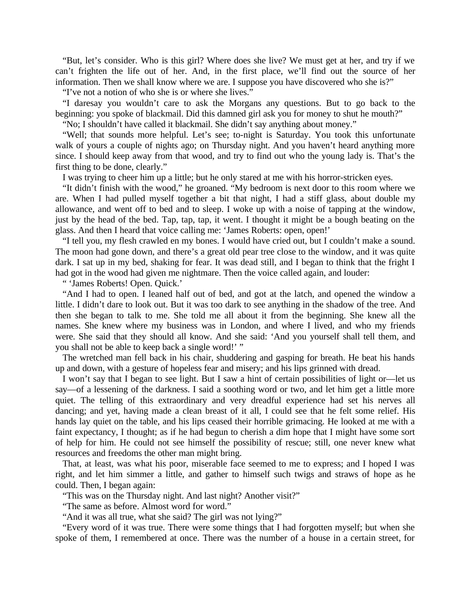"But, let's consider. Who is this girl? Where does she live? We must get at her, and try if we can't frighten the life out of her. And, in the first place, we'll find out the source of her information. Then we shall know where we are. I suppose you have discovered who she is?"

"I've not a notion of who she is or where she lives."

"I daresay you wouldn't care to ask the Morgans any questions. But to go back to the beginning: you spoke of blackmail. Did this damned girl ask you for money to shut he mouth?"

"No; I shouldn't have called it blackmail. She didn't say anything about money."

"Well; that sounds more helpful. Let's see; to-night is Saturday. You took this unfortunate walk of yours a couple of nights ago; on Thursday night. And you haven't heard anything more since. I should keep away from that wood, and try to find out who the young lady is. That's the first thing to be done, clearly."

I was trying to cheer him up a little; but he only stared at me with his horror-stricken eyes.

"It didn't finish with the wood," he groaned. "My bedroom is next door to this room where we are. When I had pulled myself together a bit that night, I had a stiff glass, about double my allowance, and went off to bed and to sleep. I woke up with a noise of tapping at the window, just by the head of the bed. Tap, tap, tap, it went. I thought it might be a bough beating on the glass. And then I heard that voice calling me: 'James Roberts: open, open!'

"I tell you, my flesh crawled en my bones. I would have cried out, but I couldn't make a sound. The moon had gone down, and there's a great old pear tree close to the window, and it was quite dark. I sat up in my bed, shaking for fear. It was dead still, and I began to think that the fright I had got in the wood had given me nightmare. Then the voice called again, and louder:

" 'James Roberts! Open. Quick.'

"And I had to open. I leaned half out of bed, and got at the latch, and opened the window a little. I didn't dare to look out. But it was too dark to see anything in the shadow of the tree. And then she began to talk to me. She told me all about it from the beginning. She knew all the names. She knew where my business was in London, and where I lived, and who my friends were. She said that they should all know. And she said: 'And you yourself shall tell them, and you shall not be able to keep back a single word!' "

The wretched man fell back in his chair, shuddering and gasping for breath. He beat his hands up and down, with a gesture of hopeless fear and misery; and his lips grinned with dread.

I won't say that I began to see light. But I saw a hint of certain possibilities of light or—let us say—of a lessening of the darkness. I said a soothing word or two, and let him get a little more quiet. The telling of this extraordinary and very dreadful experience had set his nerves all dancing; and yet, having made a clean breast of it all, I could see that he felt some relief. His hands lay quiet on the table, and his lips ceased their horrible grimacing. He looked at me with a faint expectancy, I thought; as if he had begun to cherish a dim hope that I might have some sort of help for him. He could not see himself the possibility of rescue; still, one never knew what resources and freedoms the other man might bring.

That, at least, was what his poor, miserable face seemed to me to express; and I hoped I was right, and let him simmer a little, and gather to himself such twigs and straws of hope as he could. Then, I began again:

"This was on the Thursday night. And last night? Another visit?"

"The same as before. Almost word for word."

"And it was all true, what she said? The girl was not lying?"

"Every word of it was true. There were some things that I had forgotten myself; but when she spoke of them, I remembered at once. There was the number of a house in a certain street, for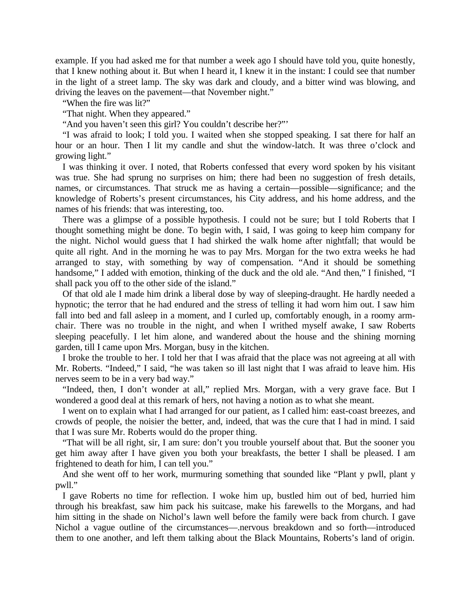example. If you had asked me for that number a week ago I should have told you, quite honestly, that I knew nothing about it. But when I heard it, I knew it in the instant: I could see that number in the light of a street lamp. The sky was dark and cloudy, and a bitter wind was blowing, and driving the leaves on the pavement—that November night."

"When the fire was lit?"

"That night. When they appeared."

"And you haven't seen this girl? You couldn't describe her?"'

"I was afraid to look; I told you. I waited when she stopped speaking. I sat there for half an hour or an hour. Then I lit my candle and shut the window-latch. It was three o'clock and growing light."

I was thinking it over. I noted, that Roberts confessed that every word spoken by his visitant was true. She had sprung no surprises on him; there had been no suggestion of fresh details, names, or circumstances. That struck me as having a certain—possible—significance; and the knowledge of Roberts's present circumstances, his City address, and his home address, and the names of his friends: that was interesting, too.

There was a glimpse of a possible hypothesis. I could not be sure; but I told Roberts that I thought something might be done. To begin with, I said, I was going to keep him company for the night. Nichol would guess that I had shirked the walk home after nightfall; that would be quite all right. And in the morning he was to pay Mrs. Morgan for the two extra weeks he had arranged to stay, with something by way of compensation. "And it should be something handsome," I added with emotion, thinking of the duck and the old ale. "And then," I finished, "I shall pack you off to the other side of the island."

Of that old ale I made him drink a liberal dose by way of sleeping-draught. He hardly needed a hypnotic; the terror that he had endured and the stress of telling it had worn him out. I saw him fall into bed and fall asleep in a moment, and I curled up, comfortably enough, in a roomy armchair. There was no trouble in the night, and when I writhed myself awake, I saw Roberts sleeping peacefully. I let him alone, and wandered about the house and the shining morning garden, till I came upon Mrs. Morgan, busy in the kitchen.

I broke the trouble to her. I told her that I was afraid that the place was not agreeing at all with Mr. Roberts. "Indeed," I said, "he was taken so ill last night that I was afraid to leave him. His nerves seem to be in a very bad way."

"Indeed, then, I don't wonder at all," replied Mrs. Morgan, with a very grave face. But I wondered a good deal at this remark of hers, not having a notion as to what she meant.

I went on to explain what I had arranged for our patient, as I called him: east-coast breezes, and crowds of people, the noisier the better, and, indeed, that was the cure that I had in mind. I said that I was sure Mr. Roberts would do the proper thing.

"That will be all right, sir, I am sure: don't you trouble yourself about that. But the sooner you get him away after I have given you both your breakfasts, the better I shall be pleased. I am frightened to death for him, I can tell you."

And she went off to her work, murmuring something that sounded like "Plant y pwll, plant y pwll."

I gave Roberts no time for reflection. I woke him up, bustled him out of bed, hurried him through his breakfast, saw him pack his suitcase, make his farewells to the Morgans, and had him sitting in the shade on Nichol's lawn well before the family were back from church. I gave Nichol a vague outline of the circumstances—.nervous breakdown and so forth—introduced them to one another, and left them talking about the Black Mountains, Roberts's land of origin.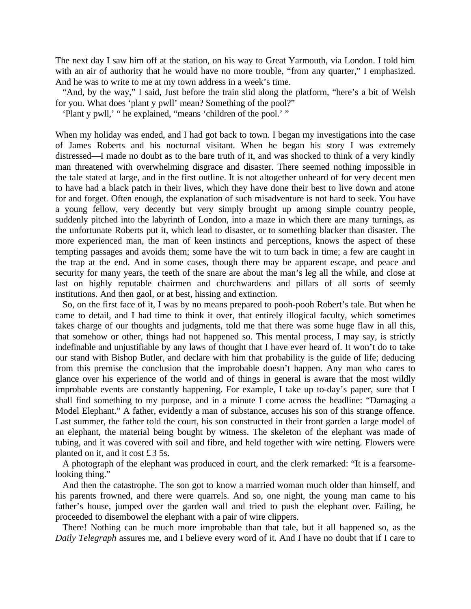The next day I saw him off at the station, on his way to Great Yarmouth, via London. I told him with an air of authority that he would have no more trouble, "from any quarter," I emphasized. And he was to write to me at my town address in a week's time.

"And, by the way," I said, Just before the train slid along the platform, "here's a bit of Welsh for you. What does 'plant y pwll' mean? Something of the pool?"

'Plant y pwll,' " he explained, "means 'children of the pool.' "

When my holiday was ended, and I had got back to town. I began my investigations into the case of James Roberts and his nocturnal visitant. When he began his story I was extremely distressed—I made no doubt as to the bare truth of it, and was shocked to think of a very kindly man threatened with overwhelming disgrace and disaster. There seemed nothing impossible in the tale stated at large, and in the first outline. It is not altogether unheard of for very decent men to have had a black patch in their lives, which they have done their best to live down and atone for and forget. Often enough, the explanation of such misadventure is not hard to seek. You have a young fellow, very decently but very simply brought up among simple country people, suddenly pitched into the labyrinth of London, into a maze in which there are many turnings, as the unfortunate Roberts put it, which lead to disaster, or to something blacker than disaster. The more experienced man, the man of keen instincts and perceptions, knows the aspect of these tempting passages and avoids them; some have the wit to turn back in time; a few are caught in the trap at the end. And in some cases, though there may be apparent escape, and peace and security for many years, the teeth of the snare are about the man's leg all the while, and close at last on highly reputable chairmen and churchwardens and pillars of all sorts of seemly institutions. And then gaol, or at best, hissing and extinction.

So, on the first face of it, I was by no means prepared to pooh-pooh Robert's tale. But when he came to detail, and I had time to think it over, that entirely illogical faculty, which sometimes takes charge of our thoughts and judgments, told me that there was some huge flaw in all this, that somehow or other, things had not happened so. This mental process, I may say, is strictly indefinable and unjustifiable by any laws of thought that I have ever heard of. It won't do to take our stand with Bishop Butler, and declare with him that probability is the guide of life; deducing from this premise the conclusion that the improbable doesn't happen. Any man who cares to glance over his experience of the world and of things in general is aware that the most wildly improbable events are constantly happening. For example, I take up to-day's paper, sure that I shall find something to my purpose, and in a minute I come across the headline: "Damaging a Model Elephant." A father, evidently a man of substance, accuses his son of this strange offence. Last summer, the father told the court, his son constructed in their front garden a large model of an elephant, the material being bought by witness. The skeleton of the elephant was made of tubing, and it was covered with soil and fibre, and held together with wire netting. Flowers were planted on it, and it cost £3 5s.

A photograph of the elephant was produced in court, and the clerk remarked: "It is a fearsomelooking thing."

And then the catastrophe. The son got to know a married woman much older than himself, and his parents frowned, and there were quarrels. And so, one night, the young man came to his father's house, jumped over the garden wall and tried to push the elephant over. Failing, he proceeded to disembowel the elephant with a pair of wire clippers.

There! Nothing can be much more improbable than that tale, but it all happened so, as the *Daily Telegraph* assures me, and I believe every word of it. And I have no doubt that if I care to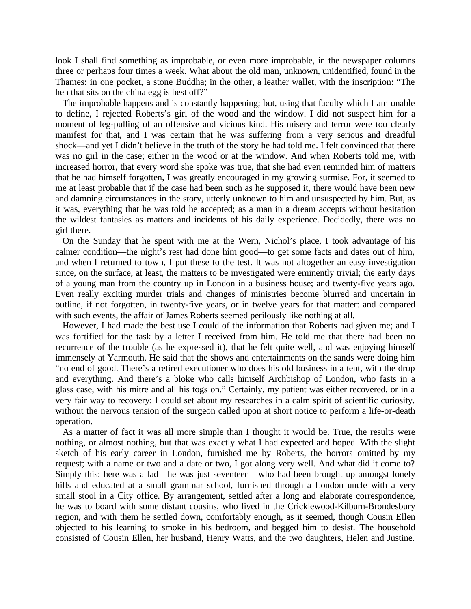look I shall find something as improbable, or even more improbable, in the newspaper columns three or perhaps four times a week. What about the old man, unknown, unidentified, found in the Thames: in one pocket, a stone Buddha; in the other, a leather wallet, with the inscription: "The hen that sits on the china egg is best off?"

The improbable happens and is constantly happening; but, using that faculty which I am unable to define, I rejected Roberts's girl of the wood and the window. I did not suspect him for a moment of leg-pulling of an offensive and vicious kind. His misery and terror were too clearly manifest for that, and I was certain that he was suffering from a very serious and dreadful shock—and yet I didn't believe in the truth of the story he had told me. I felt convinced that there was no girl in the case; either in the wood or at the window. And when Roberts told me, with increased horror, that every word she spoke was true, that she had even reminded him of matters that he had himself forgotten, I was greatly encouraged in my growing surmise. For, it seemed to me at least probable that if the case had been such as he supposed it, there would have been new and damning circumstances in the story, utterly unknown to him and unsuspected by him. But, as it was, everything that he was told he accepted; as a man in a dream accepts without hesitation the wildest fantasies as matters and incidents of his daily experience. Decidedly, there was no girl there.

On the Sunday that he spent with me at the Wern, Nichol's place, I took advantage of his calmer condition—the night's rest had done him good—to get some facts and dates out of him, and when I returned to town, I put these to the test. It was not altogether an easy investigation since, on the surface, at least, the matters to be investigated were eminently trivial; the early days of a young man from the country up in London in a business house; and twenty-five years ago. Even really exciting murder trials and changes of ministries become blurred and uncertain in outline, if not forgotten, in twenty-five years, or in twelve years for that matter: and compared with such events, the affair of James Roberts seemed perilously like nothing at all.

However, I had made the best use I could of the information that Roberts had given me; and I was fortified for the task by a letter I received from him. He told me that there had been no recurrence of the trouble (as he expressed it), that he felt quite well, and was enjoying himself immensely at Yarmouth. He said that the shows and entertainments on the sands were doing him "no end of good. There's a retired executioner who does his old business in a tent, with the drop and everything. And there's a bloke who calls himself Archbishop of London, who fasts in a glass case, with his mitre and all his togs on." Certainly, my patient was either recovered, or in a very fair way to recovery: I could set about my researches in a calm spirit of scientific curiosity. without the nervous tension of the surgeon called upon at short notice to perform a life-or-death operation.

As a matter of fact it was all more simple than I thought it would be. True, the results were nothing, or almost nothing, but that was exactly what I had expected and hoped. With the slight sketch of his early career in London, furnished me by Roberts, the horrors omitted by my request; with a name or two and a date or two, I got along very well. And what did it come to? Simply this: here was a lad—he was just seventeen—who had been brought up amongst lonely hills and educated at a small grammar school, furnished through a London uncle with a very small stool in a City office. By arrangement, settled after a long and elaborate correspondence, he was to board with some distant cousins, who lived in the Cricklewood-Kilburn-Brondesbury region, and with them he settled down, comfortably enough, as it seemed, though Cousin Ellen objected to his learning to smoke in his bedroom, and begged him to desist. The household consisted of Cousin Ellen, her husband, Henry Watts, and the two daughters, Helen and Justine.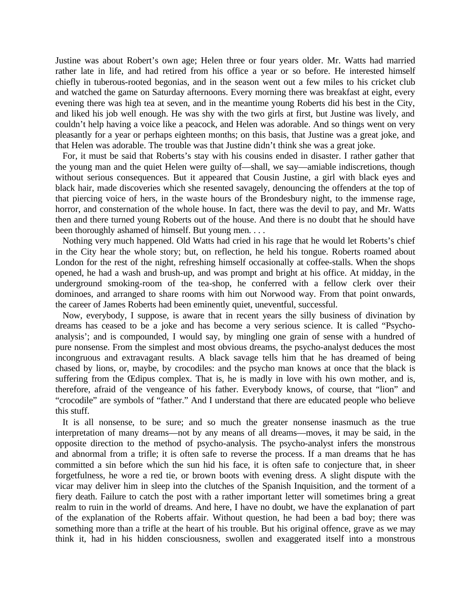Justine was about Robert's own age; Helen three or four years older. Mr. Watts had married rather late in life, and had retired from his office a year or so before. He interested himself chiefly in tuberous-rooted begonias, and in the season went out a few miles to his cricket club and watched the game on Saturday afternoons. Every morning there was breakfast at eight, every evening there was high tea at seven, and in the meantime young Roberts did his best in the City, and liked his job well enough. He was shy with the two girls at first, but Justine was lively, and couldn't help having a voice like a peacock, and Helen was adorable. And so things went on very pleasantly for a year or perhaps eighteen months; on this basis, that Justine was a great joke, and that Helen was adorable. The trouble was that Justine didn't think she was a great joke.

For, it must be said that Roberts's stay with his cousins ended in disaster. I rather gather that the young man and the quiet Helen were guilty of—shall, we say—amiable indiscretions, though without serious consequences. But it appeared that Cousin Justine, a girl with black eyes and black hair, made discoveries which she resented savagely, denouncing the offenders at the top of that piercing voice of hers, in the waste hours of the Brondesbury night, to the immense rage, horror, and consternation of the whole house. In fact, there was the devil to pay, and Mr. Watts then and there turned young Roberts out of the house. And there is no doubt that he should have been thoroughly ashamed of himself. But young men. . . .

Nothing very much happened. Old Watts had cried in his rage that he would let Roberts's chief in the City hear the whole story; but, on reflection, he held his tongue. Roberts roamed about London for the rest of the night, refreshing himself occasionally at coffee-stalls. When the shops opened, he had a wash and brush-up, and was prompt and bright at his office. At midday, in the underground smoking-room of the tea-shop, he conferred with a fellow clerk over their dominoes, and arranged to share rooms with him out Norwood way. From that point onwards, the career of James Roberts had been eminently quiet, uneventful, successful.

Now, everybody, I suppose, is aware that in recent years the silly business of divination by dreams has ceased to be a joke and has become a very serious science. It is called "Psychoanalysis'; and is compounded, I would say, by mingling one grain of sense with a hundred of pure nonsense. From the simplest and most obvious dreams, the psycho-analyst deduces the most incongruous and extravagant results. A black savage tells him that he has dreamed of being chased by lions, or, maybe, by crocodiles: and the psycho man knows at once that the black is suffering from the Œdipus complex. That is, he is madly in love with his own mother, and is, therefore, afraid of the vengeance of his father. Everybody knows, of course, that "lion" and "crocodile" are symbols of "father." And I understand that there are educated people who believe this stuff.

It is all nonsense, to be sure; and so much the greater nonsense inasmuch as the true interpretation of many dreams—not by any means of all dreams—moves, it may be said, in the opposite direction to the method of psycho-analysis. The psycho-analyst infers the monstrous and abnormal from a trifle; it is often safe to reverse the process. If a man dreams that he has committed a sin before which the sun hid his face, it is often safe to conjecture that, in sheer forgetfulness, he wore a red tie, or brown boots with evening dress. A slight dispute with the vicar may deliver him in sleep into the clutches of the Spanish Inquisition, and the torment of a fiery death. Failure to catch the post with a rather important letter will sometimes bring a great realm to ruin in the world of dreams. And here, I have no doubt, we have the explanation of part of the explanation of the Roberts affair. Without question, he had been a bad boy; there was something more than a trifle at the heart of his trouble. But his original offence, grave as we may think it, had in his hidden consciousness, swollen and exaggerated itself into a monstrous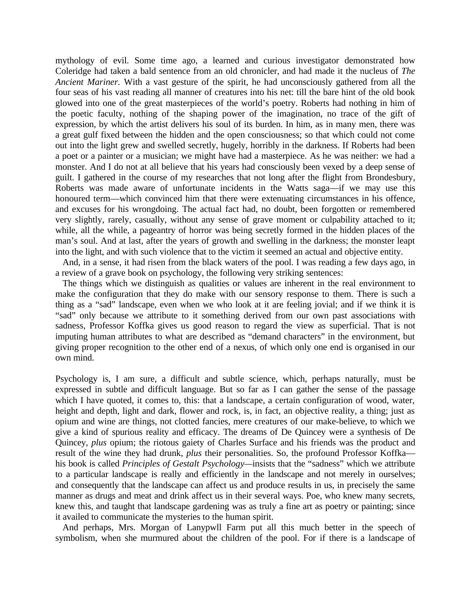mythology of evil. Some time ago, a learned and curious investigator demonstrated how Coleridge had taken a bald sentence from an old chronicler, and had made it the nucleus of *The Ancient Mariner.* With a vast gesture of the spirit, he had unconsciously gathered from all the four seas of his vast reading all manner of creatures into his net: till the bare hint of the old book glowed into one of the great masterpieces of the world's poetry. Roberts had nothing in him of the poetic faculty, nothing of the shaping power of the imagination, no trace of the gift of expression, by which the artist delivers his soul of its burden. In him, as in many men, there was a great gulf fixed between the hidden and the open consciousness; so that which could not come out into the light grew and swelled secretly, hugely, horribly in the darkness. If Roberts had been a poet or a painter or a musician; we might have had a masterpiece. As he was neither: we had a monster. And I do not at all believe that his years had consciously been vexed by a deep sense of guilt. I gathered in the course of my researches that not long after the flight from Brondesbury, Roberts was made aware of unfortunate incidents in the Watts saga—if we may use this honoured term—which convinced him that there were extenuating circumstances in his offence, and excuses for his wrongdoing. The actual fact had, no doubt, been forgotten or remembered very slightly, rarely, casually, without any sense of grave moment or culpability attached to it; while, all the while, a pageantry of horror was being secretly formed in the hidden places of the man's soul. And at last, after the years of growth and swelling in the darkness; the monster leapt into the light, and with such violence that to the victim it seemed an actual and objective entity.

And, in a sense, it had risen from the black waters of the pool. I was reading a few days ago, in a review of a grave book on psychology, the following very striking sentences:

The things which we distinguish as qualities or values are inherent in the real environment to make the configuration that they do make with our sensory response to them. There is such a thing as a "sad" landscape, even when we who look at it are feeling jovial; and if we think it is "sad" only because we attribute to it something derived from our own past associations with sadness, Professor Koffka gives us good reason to regard the view as superficial. That is not imputing human attributes to what are described as "demand characters" in the environment, but giving proper recognition to the other end of a nexus, of which only one end is organised in our own mind.

Psychology is, I am sure, a difficult and subtle science, which, perhaps naturally, must be expressed in subtle and difficult language. But so far as I can gather the sense of the passage which I have quoted, it comes to, this: that a landscape, a certain configuration of wood, water, height and depth, light and dark, flower and rock, is, in fact, an objective reality, a thing; just as opium and wine are things, not clotted fancies, mere creatures of our make-believe, to which we give a kind of spurious reality and efficacy. The dreams of De Quincey were a synthesis of De Quincey, *plus* opium; the riotous gaiety of Charles Surface and his friends was the product and result of the wine they had drunk, *plus* their personalities. So, the profound Professor Koffka his book is called *Principles of Gestalt Psychology—*insists that the "sadness" which we attribute to a particular landscape is really and efficiently in the landscape and not merely in ourselves; and consequently that the landscape can affect us and produce results in us, in precisely the same manner as drugs and meat and drink affect us in their several ways. Poe, who knew many secrets, knew this, and taught that landscape gardening was as truly a fine art as poetry or painting; since it availed to communicate the mysteries to the human spirit.

And perhaps, Mrs. Morgan of Lanypwll Farm put all this much better in the speech of symbolism, when she murmured about the children of the pool. For if there is a landscape of